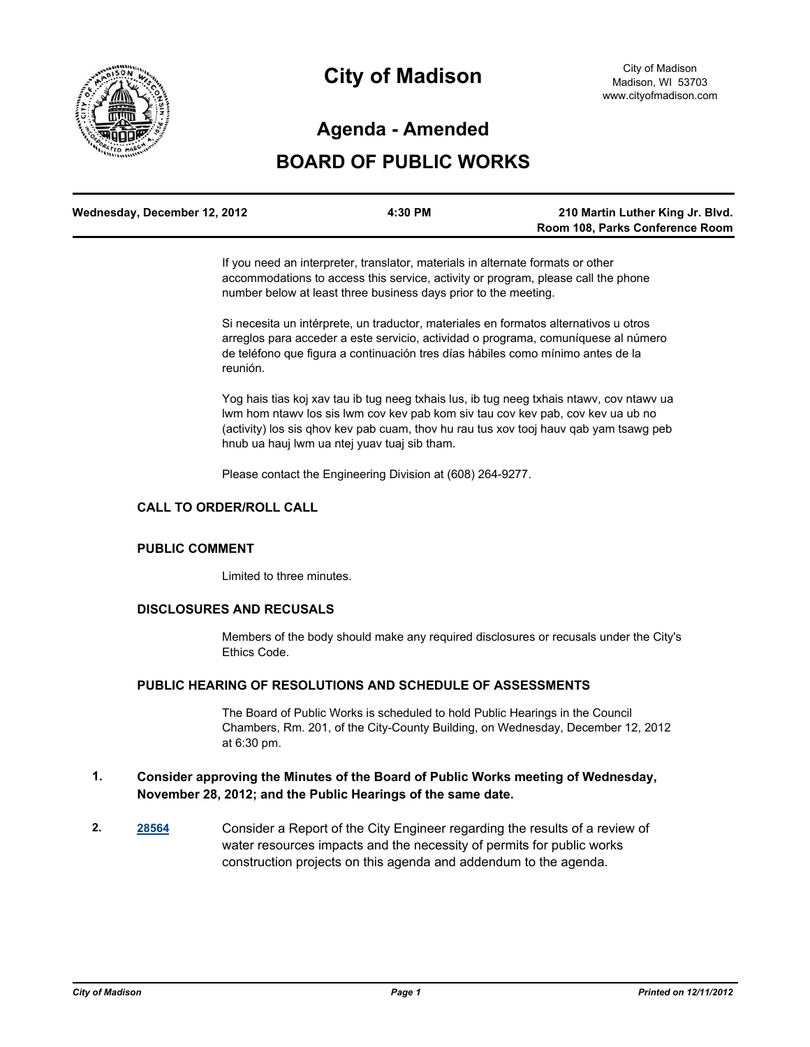

# **City of Madison**

# **Agenda - Amended**

# **BOARD OF PUBLIC WORKS**

| Wednesday, December 12, 2012 | 4:30 PM | 210 Martin Luther King Jr. Blvd. |
|------------------------------|---------|----------------------------------|
|                              |         | Room 108, Parks Conference Room  |

If you need an interpreter, translator, materials in alternate formats or other accommodations to access this service, activity or program, please call the phone number below at least three business days prior to the meeting.

Si necesita un intérprete, un traductor, materiales en formatos alternativos u otros arreglos para acceder a este servicio, actividad o programa, comuníquese al número de teléfono que figura a continuación tres días hábiles como mínimo antes de la reunión.

Yog hais tias koj xav tau ib tug neeg txhais lus, ib tug neeg txhais ntawv, cov ntawv ua lwm hom ntawv los sis lwm cov kev pab kom siv tau cov kev pab, cov kev ua ub no (activity) los sis qhov kev pab cuam, thov hu rau tus xov tooj hauv qab yam tsawg peb hnub ua hauj lwm ua ntej yuav tuaj sib tham.

Please contact the Engineering Division at (608) 264-9277.

#### **CALL TO ORDER/ROLL CALL**

#### **PUBLIC COMMENT**

Limited to three minutes.

#### **DISCLOSURES AND RECUSALS**

Members of the body should make any required disclosures or recusals under the City's Ethics Code.

# **PUBLIC HEARING OF RESOLUTIONS AND SCHEDULE OF ASSESSMENTS**

The Board of Public Works is scheduled to hold Public Hearings in the Council Chambers, Rm. 201, of the City-County Building, on Wednesday, December 12, 2012 at 6:30 pm.

# **1. Consider approving the Minutes of the Board of Public Works meeting of Wednesday, November 28, 2012; and the Public Hearings of the same date.**

**2. [28564](http://madison.legistar.com/gateway.aspx?m=l&id=/matter.aspx?key=31348)** Consider a Report of the City Engineer regarding the results of a review of water resources impacts and the necessity of permits for public works construction projects on this agenda and addendum to the agenda.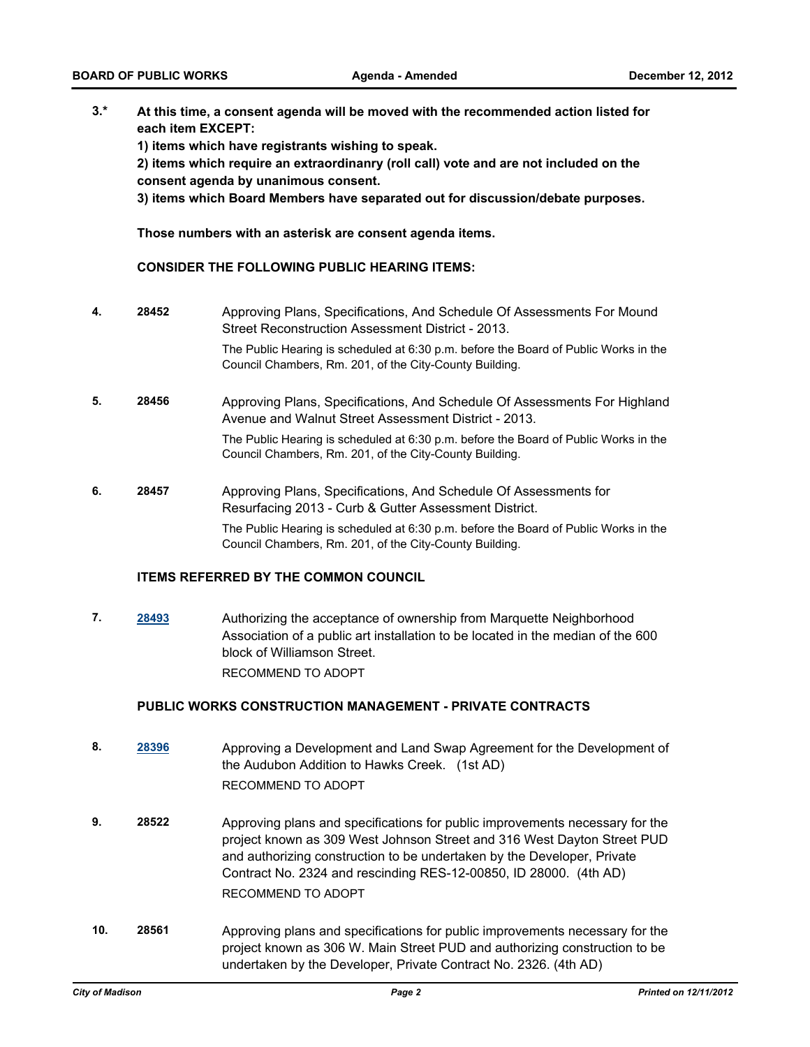**3.\* At this time, a consent agenda will be moved with the recommended action listed for each item EXCEPT:**

**1) items which have registrants wishing to speak.**

**2) items which require an extraordinanry (roll call) vote and are not included on the consent agenda by unanimous consent.**

**3) items which Board Members have separated out for discussion/debate purposes.** 

**Those numbers with an asterisk are consent agenda items.**

#### **CONSIDER THE FOLLOWING PUBLIC HEARING ITEMS:**

**4. 28452** Approving Plans, Specifications, And Schedule Of Assessments For Mound Street Reconstruction Assessment District - 2013. The Public Hearing is scheduled at 6:30 p.m. before the Board of Public Works in the

Council Chambers, Rm. 201, of the City-County Building.

- **5. 28456** Approving Plans, Specifications, And Schedule Of Assessments For Highland Avenue and Walnut Street Assessment District - 2013. The Public Hearing is scheduled at 6:30 p.m. before the Board of Public Works in the Council Chambers, Rm. 201, of the City-County Building.
- **6. 28457** Approving Plans, Specifications, And Schedule Of Assessments for Resurfacing 2013 - Curb & Gutter Assessment District. The Public Hearing is scheduled at 6:30 p.m. before the Board of Public Works in the Council Chambers, Rm. 201, of the City-County Building.

#### **ITEMS REFERRED BY THE COMMON COUNCIL**

**7. [28493](http://madison.legistar.com/gateway.aspx?m=l&id=/matter.aspx?key=31271)** Authorizing the acceptance of ownership from Marquette Neighborhood Association of a public art installation to be located in the median of the 600 block of Williamson Street. RECOMMEND TO ADOPT

#### **PUBLIC WORKS CONSTRUCTION MANAGEMENT - PRIVATE CONTRACTS**

- **8. [28396](http://madison.legistar.com/gateway.aspx?m=l&id=/matter.aspx?key=31163)** Approving a Development and Land Swap Agreement for the Development of the Audubon Addition to Hawks Creek. (1st AD) RECOMMEND TO ADOPT
- **9. 28522** Approving plans and specifications for public improvements necessary for the project known as 309 West Johnson Street and 316 West Dayton Street PUD and authorizing construction to be undertaken by the Developer, Private Contract No. 2324 and rescinding RES-12-00850, ID 28000. (4th AD) RECOMMEND TO ADOPT
- **10. 28561** Approving plans and specifications for public improvements necessary for the project known as 306 W. Main Street PUD and authorizing construction to be undertaken by the Developer, Private Contract No. 2326. (4th AD)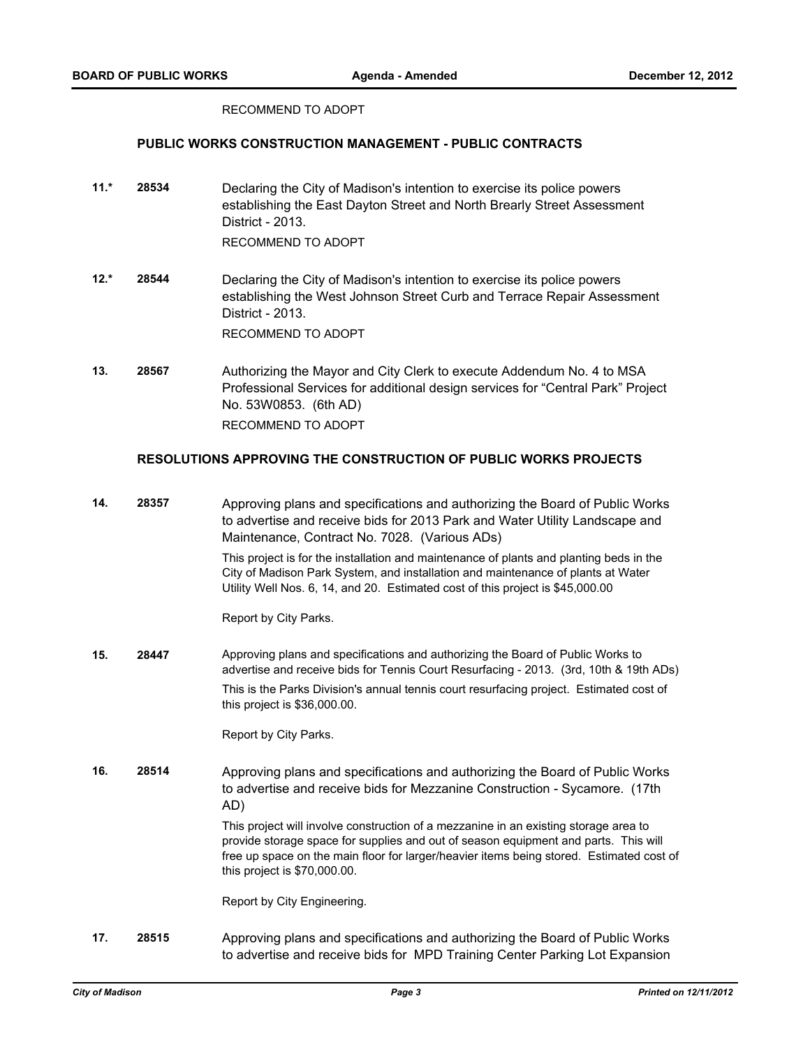#### RECOMMEND TO ADOPT

### **PUBLIC WORKS CONSTRUCTION MANAGEMENT - PUBLIC CONTRACTS**

- **11.\* 28534** Declaring the City of Madison's intention to exercise its police powers establishing the East Dayton Street and North Brearly Street Assessment District - 2013. RECOMMEND TO ADOPT
- **12.\* 28544** Declaring the City of Madison's intention to exercise its police powers establishing the West Johnson Street Curb and Terrace Repair Assessment District - 2013. RECOMMEND TO ADOPT
- **13. 28567** Authorizing the Mayor and City Clerk to execute Addendum No. 4 to MSA Professional Services for additional design services for "Central Park" Project No. 53W0853. (6th AD) RECOMMEND TO ADOPT

### **RESOLUTIONS APPROVING THE CONSTRUCTION OF PUBLIC WORKS PROJECTS**

**14. 28357** Approving plans and specifications and authorizing the Board of Public Works to advertise and receive bids for 2013 Park and Water Utility Landscape and Maintenance, Contract No. 7028. (Various ADs) This project is for the installation and maintenance of plants and planting beds in the

City of Madison Park System, and installation and maintenance of plants at Water Utility Well Nos. 6, 14, and 20. Estimated cost of this project is \$45,000.00

Report by City Parks.

**15. 28447** Approving plans and specifications and authorizing the Board of Public Works to advertise and receive bids for Tennis Court Resurfacing - 2013. (3rd, 10th & 19th ADs) This is the Parks Division's annual tennis court resurfacing project. Estimated cost of this project is \$36,000.00.

Report by City Parks.

**16. 28514** Approving plans and specifications and authorizing the Board of Public Works to advertise and receive bids for Mezzanine Construction - Sycamore. (17th AD)

> This project will involve construction of a mezzanine in an existing storage area to provide storage space for supplies and out of season equipment and parts. This will free up space on the main floor for larger/heavier items being stored. Estimated cost of this project is \$70,000.00.

Report by City Engineering.

**17. 28515** Approving plans and specifications and authorizing the Board of Public Works to advertise and receive bids for MPD Training Center Parking Lot Expansion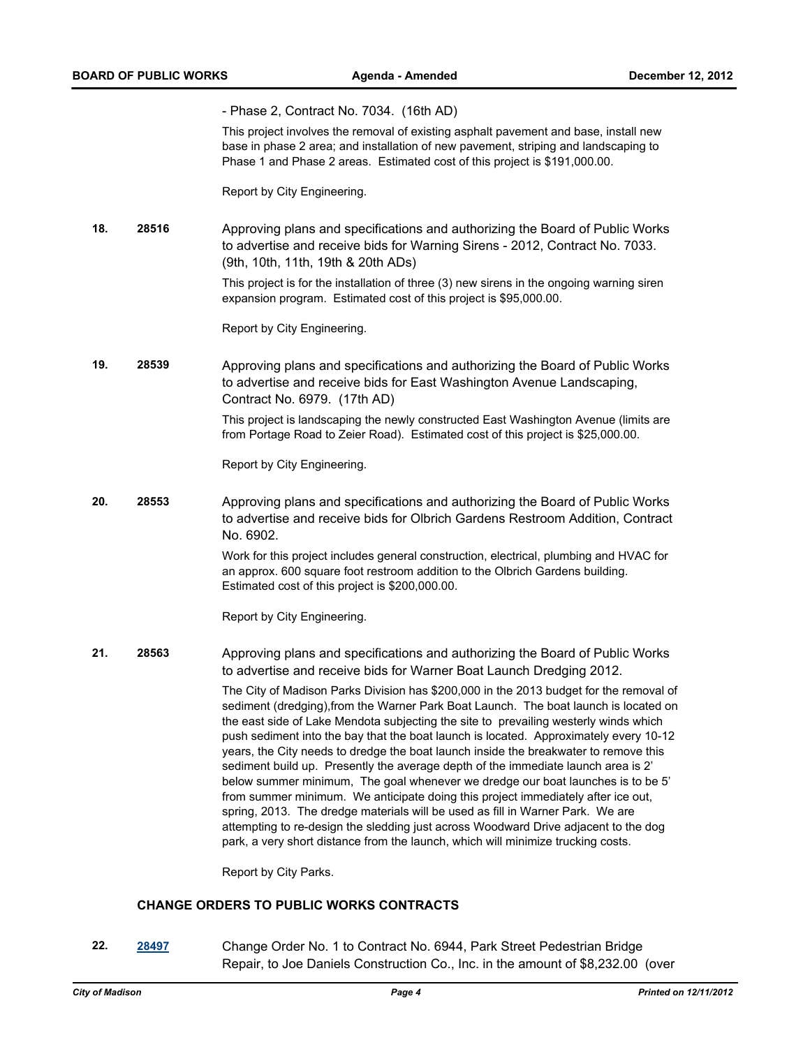|     |       | - Phase 2, Contract No. 7034. (16th AD)                                                                                                                                                                                                                                                                                                                                                                                                                                                                                                                                                                                                                                                                                                                                                                                                                                                                                                                                          |
|-----|-------|----------------------------------------------------------------------------------------------------------------------------------------------------------------------------------------------------------------------------------------------------------------------------------------------------------------------------------------------------------------------------------------------------------------------------------------------------------------------------------------------------------------------------------------------------------------------------------------------------------------------------------------------------------------------------------------------------------------------------------------------------------------------------------------------------------------------------------------------------------------------------------------------------------------------------------------------------------------------------------|
|     |       | This project involves the removal of existing asphalt pavement and base, install new<br>base in phase 2 area; and installation of new pavement, striping and landscaping to<br>Phase 1 and Phase 2 areas. Estimated cost of this project is \$191,000.00.                                                                                                                                                                                                                                                                                                                                                                                                                                                                                                                                                                                                                                                                                                                        |
|     |       | Report by City Engineering.                                                                                                                                                                                                                                                                                                                                                                                                                                                                                                                                                                                                                                                                                                                                                                                                                                                                                                                                                      |
| 18. | 28516 | Approving plans and specifications and authorizing the Board of Public Works<br>to advertise and receive bids for Warning Sirens - 2012, Contract No. 7033.<br>(9th, 10th, 11th, 19th & 20th ADs)                                                                                                                                                                                                                                                                                                                                                                                                                                                                                                                                                                                                                                                                                                                                                                                |
|     |       | This project is for the installation of three (3) new sirens in the ongoing warning siren<br>expansion program. Estimated cost of this project is \$95,000.00.                                                                                                                                                                                                                                                                                                                                                                                                                                                                                                                                                                                                                                                                                                                                                                                                                   |
|     |       | Report by City Engineering.                                                                                                                                                                                                                                                                                                                                                                                                                                                                                                                                                                                                                                                                                                                                                                                                                                                                                                                                                      |
| 19. | 28539 | Approving plans and specifications and authorizing the Board of Public Works<br>to advertise and receive bids for East Washington Avenue Landscaping,<br>Contract No. 6979. (17th AD)                                                                                                                                                                                                                                                                                                                                                                                                                                                                                                                                                                                                                                                                                                                                                                                            |
|     |       | This project is landscaping the newly constructed East Washington Avenue (limits are<br>from Portage Road to Zeier Road). Estimated cost of this project is \$25,000.00.                                                                                                                                                                                                                                                                                                                                                                                                                                                                                                                                                                                                                                                                                                                                                                                                         |
|     |       | Report by City Engineering.                                                                                                                                                                                                                                                                                                                                                                                                                                                                                                                                                                                                                                                                                                                                                                                                                                                                                                                                                      |
| 20. | 28553 | Approving plans and specifications and authorizing the Board of Public Works<br>to advertise and receive bids for Olbrich Gardens Restroom Addition, Contract<br>No. 6902.                                                                                                                                                                                                                                                                                                                                                                                                                                                                                                                                                                                                                                                                                                                                                                                                       |
|     |       | Work for this project includes general construction, electrical, plumbing and HVAC for<br>an approx. 600 square foot restroom addition to the Olbrich Gardens building.<br>Estimated cost of this project is \$200,000.00.                                                                                                                                                                                                                                                                                                                                                                                                                                                                                                                                                                                                                                                                                                                                                       |
|     |       | Report by City Engineering.                                                                                                                                                                                                                                                                                                                                                                                                                                                                                                                                                                                                                                                                                                                                                                                                                                                                                                                                                      |
| 21. | 28563 | Approving plans and specifications and authorizing the Board of Public Works<br>to advertise and receive bids for Warner Boat Launch Dredging 2012.                                                                                                                                                                                                                                                                                                                                                                                                                                                                                                                                                                                                                                                                                                                                                                                                                              |
|     |       | The City of Madison Parks Division has \$200,000 in the 2013 budget for the removal of<br>sediment (dredging), from the Warner Park Boat Launch. The boat launch is located on<br>the east side of Lake Mendota subjecting the site to prevailing westerly winds which<br>push sediment into the bay that the boat launch is located. Approximately every 10-12<br>years, the City needs to dredge the boat launch inside the breakwater to remove this<br>sediment build up. Presently the average depth of the immediate launch area is 2'<br>below summer minimum, The goal whenever we dredge our boat launches is to be 5'<br>from summer minimum. We anticipate doing this project immediately after ice out,<br>spring, 2013. The dredge materials will be used as fill in Warner Park. We are<br>attempting to re-design the sledding just across Woodward Drive adjacent to the dog<br>park, a very short distance from the launch, which will minimize trucking costs. |

Report by City Parks.

# **CHANGE ORDERS TO PUBLIC WORKS CONTRACTS**

**22. [28497](http://madison.legistar.com/gateway.aspx?m=l&id=/matter.aspx?key=31275)** Change Order No. 1 to Contract No. 6944, Park Street Pedestrian Bridge Repair, to Joe Daniels Construction Co., Inc. in the amount of \$8,232.00 (over